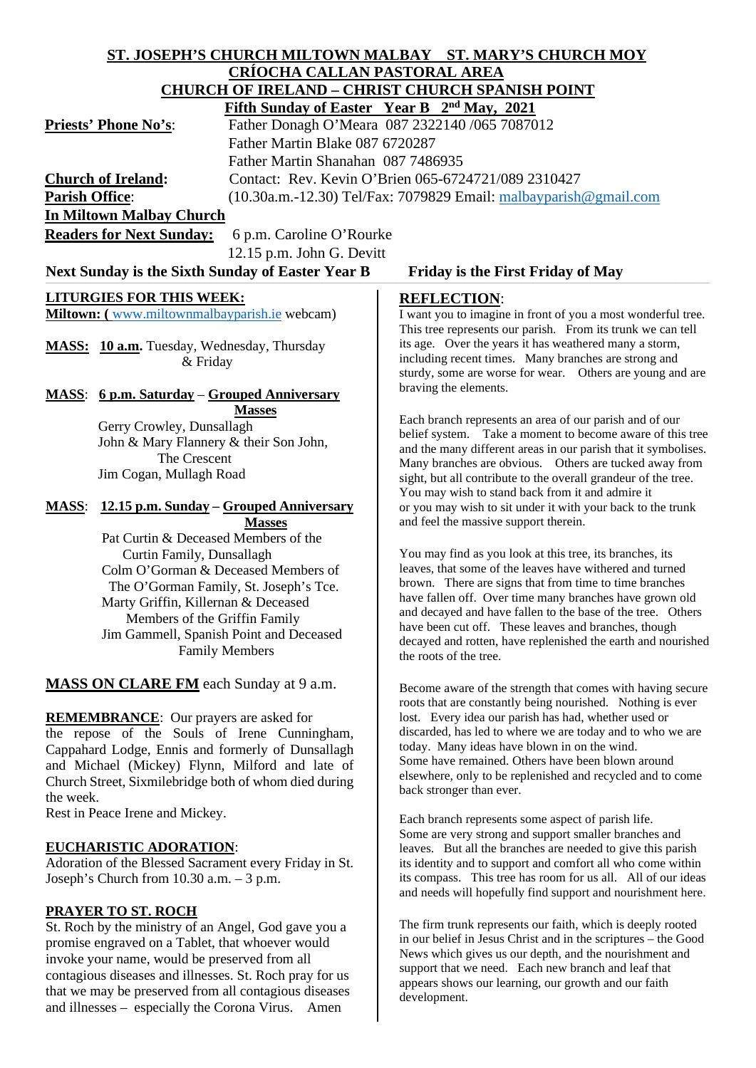| ST. JOSEPH'S CHURCH MILTOWN MALBAY ST. MARY'S CHURCH MOY                                                              |                                                                                                                          |
|-----------------------------------------------------------------------------------------------------------------------|--------------------------------------------------------------------------------------------------------------------------|
| <b>CRÍOCHA CALLAN PASTORAL AREA</b>                                                                                   |                                                                                                                          |
| <b>CHURCH OF IRELAND - CHRIST CHURCH SPANISH POINT</b>                                                                |                                                                                                                          |
| Fifth Sunday of Easter Year B 2 <sup>nd</sup> May, 2021                                                               |                                                                                                                          |
| <b>Priests' Phone No's:</b>                                                                                           | Father Donagh O'Meara 087 2322140 /065 7087012                                                                           |
|                                                                                                                       | Father Martin Blake 087 6720287                                                                                          |
|                                                                                                                       | Father Martin Shanahan 087 7486935                                                                                       |
| <b>Church of Ireland:</b>                                                                                             | Contact: Rev. Kevin O'Brien 065-6724721/089 2310427                                                                      |
| <b>Parish Office:</b>                                                                                                 | (10.30a.m.-12.30) Tel/Fax: 7079829 Email: malbayparish@gmail.com                                                         |
| <b>In Miltown Malbay Church</b>                                                                                       |                                                                                                                          |
|                                                                                                                       |                                                                                                                          |
| <b>Readers for Next Sunday:</b>                                                                                       | 6 p.m. Caroline O'Rourke                                                                                                 |
| 12.15 p.m. John G. Devitt                                                                                             |                                                                                                                          |
| Next Sunday is the Sixth Sunday of Easter Year B<br><b>Friday is the First Friday of May</b>                          |                                                                                                                          |
| <b>LITURGIES FOR THIS WEEK:</b>                                                                                       | <b>REFLECTION:</b>                                                                                                       |
| Miltown: (www.miltownmalbayparish.ie webcam)                                                                          | I want you to imagine in front of you a most wonderful tree.                                                             |
|                                                                                                                       | This tree represents our parish. From its trunk we can tell                                                              |
| MASS: 10 a.m. Tuesday, Wednesday, Thursday                                                                            | its age. Over the years it has weathered many a storm,                                                                   |
| & Friday                                                                                                              | including recent times. Many branches are strong and                                                                     |
|                                                                                                                       | sturdy, some are worse for wear. Others are young and are                                                                |
| <b>MASS:</b> 6 p.m. Saturday – Grouped Anniversary                                                                    | braving the elements.                                                                                                    |
| <b>Masses</b>                                                                                                         |                                                                                                                          |
| Gerry Crowley, Dunsallagh                                                                                             | Each branch represents an area of our parish and of our                                                                  |
| John & Mary Flannery & their Son John,                                                                                | belief system. Take a moment to become aware of this tree                                                                |
| The Crescent                                                                                                          | and the many different areas in our parish that it symbolises.<br>Many branches are obvious. Others are tucked away from |
| Jim Cogan, Mullagh Road                                                                                               | sight, but all contribute to the overall grandeur of the tree.                                                           |
|                                                                                                                       | You may wish to stand back from it and admire it                                                                         |
| <u> 12.15 p.m. Sunday – Grouped Anniversary</u><br><u>MASS:</u>                                                       | or you may wish to sit under it with your back to the trunk                                                              |
| <b>Masses</b>                                                                                                         | and feel the massive support therein.                                                                                    |
| Pat Curtin & Deceased Members of the                                                                                  |                                                                                                                          |
| Curtin Family, Dunsallagh                                                                                             | You may find as you look at this tree, its branches, its                                                                 |
| Colm O'Gorman & Deceased Members of                                                                                   | leaves, that some of the leaves have withered and turned                                                                 |
| The O'Gorman Family, St. Joseph's Tce.                                                                                | brown. There are signs that from time to time branches                                                                   |
| Marty Griffin, Killernan & Deceased                                                                                   | have fallen off. Over time many branches have grown old<br>and decayed and have fallen to the base of the tree. Others   |
| Members of the Griffin Family                                                                                         | have been cut off. These leaves and branches, though                                                                     |
| Jim Gammell, Spanish Point and Deceased                                                                               | decayed and rotten, have replenished the earth and nourished                                                             |
| <b>Family Members</b>                                                                                                 | the roots of the tree.                                                                                                   |
|                                                                                                                       |                                                                                                                          |
| <b>MASS ON CLARE FM</b> each Sunday at 9 a.m.                                                                         | Become aware of the strength that comes with having secure                                                               |
|                                                                                                                       | roots that are constantly being nourished. Nothing is ever                                                               |
| <b>REMEMBRANCE:</b> Our prayers are asked for                                                                         | lost. Every idea our parish has had, whether used or                                                                     |
| the repose of the Souls of Irene Cunningham,                                                                          | discarded, has led to where we are today and to who we are                                                               |
| Cappahard Lodge, Ennis and formerly of Dunsallagh                                                                     | today. Many ideas have blown in on the wind.<br>Some have remained. Others have been blown around                        |
| and Michael (Mickey) Flynn, Milford and late of                                                                       | elsewhere, only to be replenished and recycled and to come                                                               |
| Church Street, Sixmilebridge both of whom died during                                                                 | back stronger than ever.                                                                                                 |
| the week.                                                                                                             |                                                                                                                          |
| Rest in Peace Irene and Mickey.<br>Each branch represents some aspect of parish life.                                 |                                                                                                                          |
|                                                                                                                       | Some are very strong and support smaller branches and                                                                    |
| <b>EUCHARISTIC ADORATION:</b>                                                                                         | leaves. But all the branches are needed to give this parish                                                              |
| Adoration of the Blessed Sacrament every Friday in St.<br>its identity and to support and comfort all who come within |                                                                                                                          |
| its compass. This tree has room for us all. All of our ideas<br>Joseph's Church from 10.30 a.m. - 3 p.m.              |                                                                                                                          |
|                                                                                                                       | and needs will hopefully find support and nourishment here.                                                              |
| <b>PRAYER TO ST. ROCH</b>                                                                                             | The firm trunk represents our faith, which is deeply rooted                                                              |
| St. Roch by the ministry of an Angel, God gave you a<br>promise engraved on a Tablet that whoever would               | in our belief in Jesus Christ and in the scriptures - the Good                                                           |
|                                                                                                                       |                                                                                                                          |

News which gives us our depth, and the nourishment and support that we need. Each new branch and leaf that appears shows our learning, our growth and our faith

development.

promise engraved on a Tablet, that whoever would invoke your name, would be preserved from all contagious diseases and illnesses. St. Roch pray for us that we may be preserved from all contagious diseases and illnesses – especially the Corona Virus. Amen